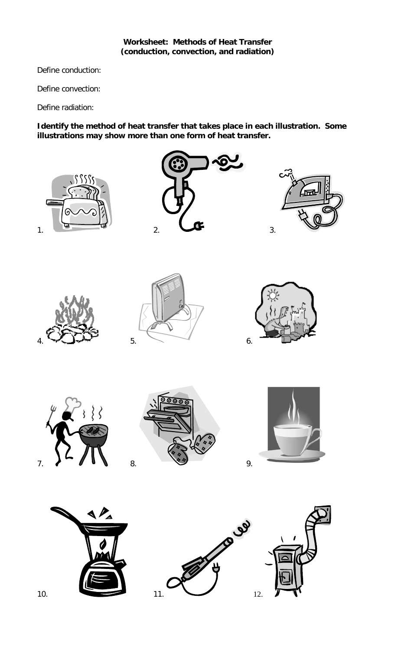## **Worksheet: Methods of Heat Transfer (conduction, convection, and radiation)**

Define conduction:

Define convection:

Define radiation:

**Identify the method of heat transfer that takes place in each illustration. Some illustrations may show more than one form of heat transfer.**